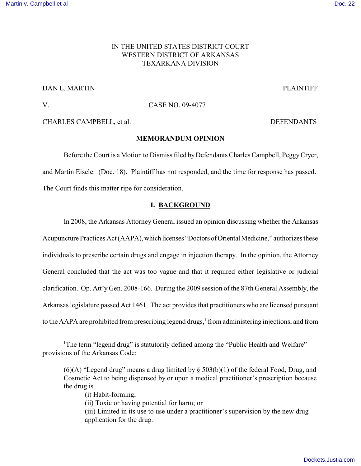# IN THE UNITED STATES DISTRICT COURT WESTERN DISTRICT OF ARKANSAS TEXARKANA DIVISION

## DAN L. MARTIN PLAINTIFF

## V. CASE NO. 09-4077

CHARLES CAMPBELL, et al. DEFENDANTS

### **MEMORANDUM OPINION**

Before the Court is a Motion to Dismiss filed by Defendants Charles Campbell, Peggy Cryer, and Martin Eisele. (Doc. 18). Plaintiff has not responded, and the time for response has passed. The Court finds this matter ripe for consideration.

### **I. BACKGROUND**

In 2008, the Arkansas Attorney General issued an opinion discussing whether the Arkansas Acupuncture Practices Act (AAPA), which licenses "Doctors of Oriental Medicine," authorizes these individuals to prescribe certain drugs and engage in injection therapy. In the opinion, the Attorney General concluded that the act was too vague and that it required either legislative or judicial clarification. Op. Att'y Gen. 2008-166. During the 2009 session of the 87th General Assembly, the Arkansas legislature passed Act 1461. The act provides that practitioners who are licensed pursuant to the AAPA are prohibited from prescribing legend drugs,<sup>1</sup> from administering injections, and from

<sup>&</sup>lt;sup>1</sup>The term "legend drug" is statutorily defined among the "Public Health and Welfare" provisions of the Arkansas Code:

 $(6)(A)$  "Legend drug" means a drug limited by  $\S$  503(b)(1) of the federal Food, Drug, and Cosmetic Act to being dispensed by or upon a medical practitioner's prescription because the drug is

<sup>(</sup>i) Habit-forming;

<sup>(</sup>ii) Toxic or having potential for harm; or

<sup>(</sup>iii) Limited in its use to use under a practitioner's supervision by the new drug application for the drug.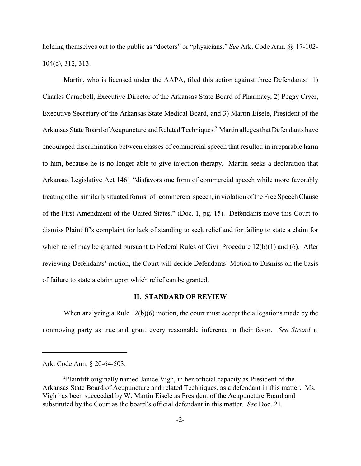holding themselves out to the public as "doctors" or "physicians." *See* Ark. Code Ann. §§ 17-102- 104(c), 312, 313.

Martin, who is licensed under the AAPA, filed this action against three Defendants: 1) Charles Campbell, Executive Director of the Arkansas State Board of Pharmacy, 2) Peggy Cryer, Executive Secretary of the Arkansas State Medical Board, and 3) Martin Eisele, President of the Arkansas State Board of Acupuncture and Related Techniques.<sup>2</sup> Martin alleges that Defendants have encouraged discrimination between classes of commercial speech that resulted in irreparable harm to him, because he is no longer able to give injection therapy. Martin seeks a declaration that Arkansas Legislative Act 1461 "disfavors one form of commercial speech while more favorably treating other similarlysituated forms [of] commercial speech, in violation of the Free Speech Clause of the First Amendment of the United States." (Doc. 1, pg. 15). Defendants move this Court to dismiss Plaintiff's complaint for lack of standing to seek relief and for failing to state a claim for which relief may be granted pursuant to Federal Rules of Civil Procedure 12(b)(1) and (6). After reviewing Defendants' motion, the Court will decide Defendants' Motion to Dismiss on the basis of failure to state a claim upon which relief can be granted.

#### **II. STANDARD OF REVIEW**

When analyzing a Rule 12(b)(6) motion, the court must accept the allegations made by the nonmoving party as true and grant every reasonable inference in their favor. *See Strand v.*

Ark. Code Ann. § 20-64-503.

Plaintiff originally named Janice Vigh, in her official capacity as President of the <sup>2</sup> Arkansas State Board of Acupuncture and related Techniques, as a defendant in this matter. Ms. Vigh has been succeeded by W. Martin Eisele as President of the Acupuncture Board and substituted by the Court as the board's official defendant in this matter. *See* Doc. 21.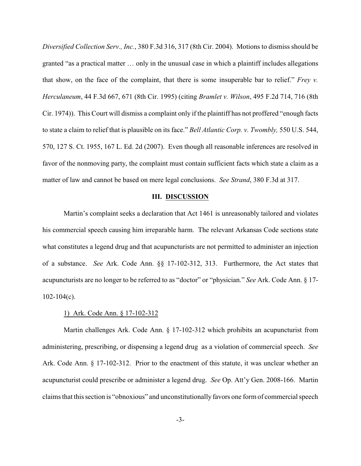*Diversified Collection Serv., Inc.*, 380 F.3d 316, 317 (8th Cir. 2004). Motions to dismiss should be granted "as a practical matter … only in the unusual case in which a plaintiff includes allegations that show, on the face of the complaint, that there is some insuperable bar to relief." *Frey v. Herculaneum*, 44 F.3d 667, 671 (8th Cir. 1995) (citing *Bramlet v. Wilson*, 495 F.2d 714, 716 (8th Cir. 1974)). This Court will dismiss a complaint only if the plaintiff has not proffered "enough facts to state a claim to relief that is plausible on its face." *Bell Atlantic Corp. v. Twombly,* 550 U.S. 544, 570, 127 S. Ct. 1955, 167 L. Ed. 2d (2007). Even though all reasonable inferences are resolved in favor of the nonmoving party, the complaint must contain sufficient facts which state a claim as a matter of law and cannot be based on mere legal conclusions. *See Strand*, 380 F.3d at 317.

#### **III. DISCUSSION**

Martin's complaint seeks a declaration that Act 1461 is unreasonably tailored and violates his commercial speech causing him irreparable harm. The relevant Arkansas Code sections state what constitutes a legend drug and that acupuncturists are not permitted to administer an injection of a substance. *See* Ark. Code Ann. §§ 17-102-312, 313. Furthermore, the Act states that acupuncturists are no longer to be referred to as "doctor" or "physician." *See* Ark. Code Ann. § 17-  $102-104(c)$ .

#### 1) Ark. Code Ann. § 17-102-312

Martin challenges Ark. Code Ann. § 17-102-312 which prohibits an acupuncturist from administering, prescribing, or dispensing a legend drug as a violation of commercial speech. *See* Ark. Code Ann. § 17-102-312. Prior to the enactment of this statute, it was unclear whether an acupuncturist could prescribe or administer a legend drug. *See* Op. Att'y Gen. 2008-166. Martin claims that this section is "obnoxious" and unconstitutionally favors one form of commercial speech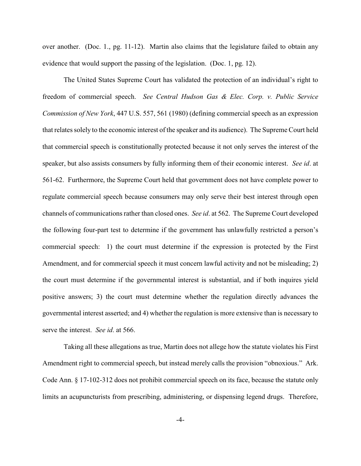over another. (Doc. 1., pg. 11-12). Martin also claims that the legislature failed to obtain any evidence that would support the passing of the legislation. (Doc. 1, pg. 12).

The United States Supreme Court has validated the protection of an individual's right to freedom of commercial speech. *See Central Hudson Gas & Elec. Corp. v. Public Service Commission of New York*, 447 U.S. 557, 561 (1980) (defining commercial speech as an expression that relates solely to the economic interest of the speaker and its audience). The Supreme Court held that commercial speech is constitutionally protected because it not only serves the interest of the speaker, but also assists consumers by fully informing them of their economic interest. *See id*. at 561-62. Furthermore, the Supreme Court held that government does not have complete power to regulate commercial speech because consumers may only serve their best interest through open channels of communications rather than closed ones. *See id*. at 562. The Supreme Court developed the following four-part test to determine if the government has unlawfully restricted a person's commercial speech: 1) the court must determine if the expression is protected by the First Amendment, and for commercial speech it must concern lawful activity and not be misleading; 2) the court must determine if the governmental interest is substantial, and if both inquires yield positive answers; 3) the court must determine whether the regulation directly advances the governmental interest asserted; and 4) whether the regulation is more extensive than is necessary to serve the interest. *See id*. at 566.

Taking all these allegations as true, Martin does not allege how the statute violates his First Amendment right to commercial speech, but instead merely calls the provision "obnoxious." Ark. Code Ann. § 17-102-312 does not prohibit commercial speech on its face, because the statute only limits an acupuncturists from prescribing, administering, or dispensing legend drugs. Therefore,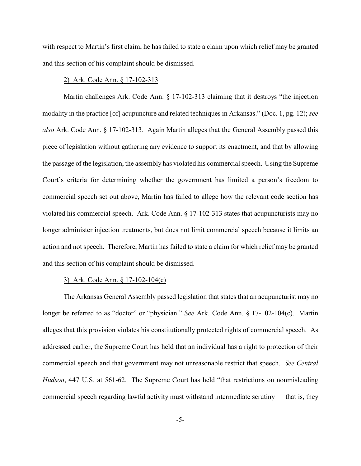with respect to Martin's first claim, he has failed to state a claim upon which relief may be granted and this section of his complaint should be dismissed.

## 2) Ark. Code Ann. § 17-102-313

Martin challenges Ark. Code Ann. § 17-102-313 claiming that it destroys "the injection modality in the practice [of] acupuncture and related techniques in Arkansas." (Doc. 1, pg. 12); *see also* Ark. Code Ann. § 17-102-313. Again Martin alleges that the General Assembly passed this piece of legislation without gathering any evidence to support its enactment, and that by allowing the passage of the legislation, the assembly has violated his commercial speech. Using the Supreme Court's criteria for determining whether the government has limited a person's freedom to commercial speech set out above, Martin has failed to allege how the relevant code section has violated his commercial speech. Ark. Code Ann. § 17-102-313 states that acupuncturists may no longer administer injection treatments, but does not limit commercial speech because it limits an action and not speech. Therefore, Martin has failed to state a claim for which relief may be granted and this section of his complaint should be dismissed.

### 3) Ark. Code Ann. § 17-102-104(c)

The Arkansas General Assembly passed legislation that states that an acupuncturist may no longer be referred to as "doctor" or "physician." *See* Ark. Code Ann. § 17-102-104(c). Martin alleges that this provision violates his constitutionally protected rights of commercial speech. As addressed earlier, the Supreme Court has held that an individual has a right to protection of their commercial speech and that government may not unreasonable restrict that speech. *See Central Hudson*, 447 U.S. at 561-62. The Supreme Court has held "that restrictions on nonmisleading commercial speech regarding lawful activity must withstand intermediate scrutiny — that is, they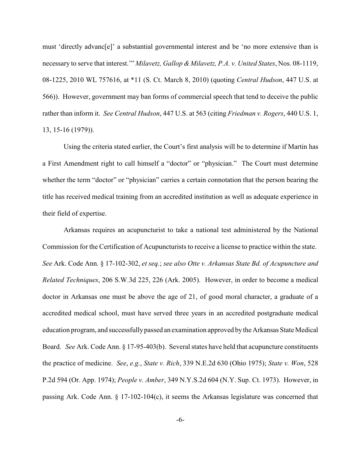must 'directly advanc[e]' a substantial governmental interest and be 'no more extensive than is necessary to serve that interest.'" *Milavetz, Gallop & Milavetz, P.A. v. United States*, Nos. 08-1119, 08-1225, 2010 WL 757616, at \*11 (S. Ct. March 8, 2010) (quoting *Central Hudson*, 447 U.S. at 566)). However, government may ban forms of commercial speech that tend to deceive the public rather than inform it. *See Central Hudson*, 447 U.S. at 563 (citing *Friedman v. Rogers*, 440 U.S. 1, 13, 15-16 (1979)).

Using the criteria stated earlier, the Court's first analysis will be to determine if Martin has a First Amendment right to call himself a "doctor" or "physician." The Court must determine whether the term "doctor" or "physician" carries a certain connotation that the person bearing the title has received medical training from an accredited institution as well as adequate experience in their field of expertise.

Arkansas requires an acupuncturist to take a national test administered by the National Commission for the Certification of Acupuncturists to receive a license to practice within the state. *See* Ark. Code Ann. § 17-102-302, *et seq.*; *see also Otte v. Arkansas State Bd. of Acupuncture and Related Techniques*, 206 S.W.3d 225, 226 (Ark. 2005). However, in order to become a medical doctor in Arkansas one must be above the age of 21, of good moral character, a graduate of a accredited medical school, must have served three years in an accredited postgraduate medical education program, and successfullypassed an examination approved bythe Arkansas State Medical Board. *See* Ark. Code Ann. § 17-95-403(b). Several states have held that acupuncture constituents the practice of medicine. *See*, *e.g.*, *State v. Rich*, 339 N.E.2d 630 (Ohio 1975); *State v. Won*, 528 P.2d 594 (Or. App. 1974); *People v. Amber*, 349 N.Y.S.2d 604 (N.Y. Sup. Ct. 1973). However, in passing Ark. Code Ann. § 17-102-104(c), it seems the Arkansas legislature was concerned that